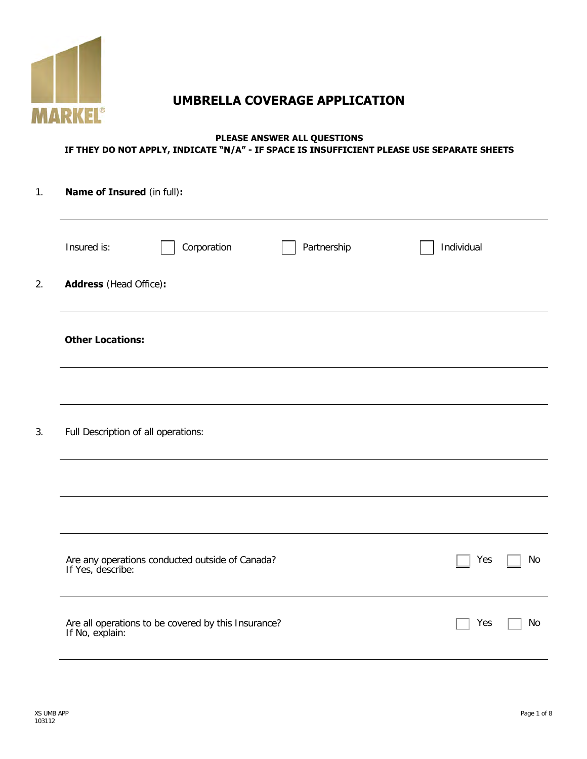

# **UMBRELLA COVERAGE APPLICATION**

#### **PLEASE ANSWER ALL QUESTIONS IF THEY DO NOT APPLY, INDICATE "N/A" - IF SPACE IS INSUFFICIENT PLEASE USE SEPARATE SHEETS**

| $\mathbf{1}$ . | <b>Name of Insured (in full):</b>                                      |                  |  |  |  |  |
|----------------|------------------------------------------------------------------------|------------------|--|--|--|--|
|                | Corporation<br>Partnership<br>Insured is:                              | Individual       |  |  |  |  |
| 2.             | <b>Address</b> (Head Office):                                          |                  |  |  |  |  |
|                | <b>Other Locations:</b>                                                |                  |  |  |  |  |
|                |                                                                        |                  |  |  |  |  |
| 3.             | Full Description of all operations:                                    |                  |  |  |  |  |
|                |                                                                        |                  |  |  |  |  |
|                |                                                                        |                  |  |  |  |  |
|                | Are any operations conducted outside of Canada?<br>If Yes, describe:   | Yes<br><b>No</b> |  |  |  |  |
|                | Are all operations to be covered by this Insurance?<br>If No, explain: | <b>No</b><br>Yes |  |  |  |  |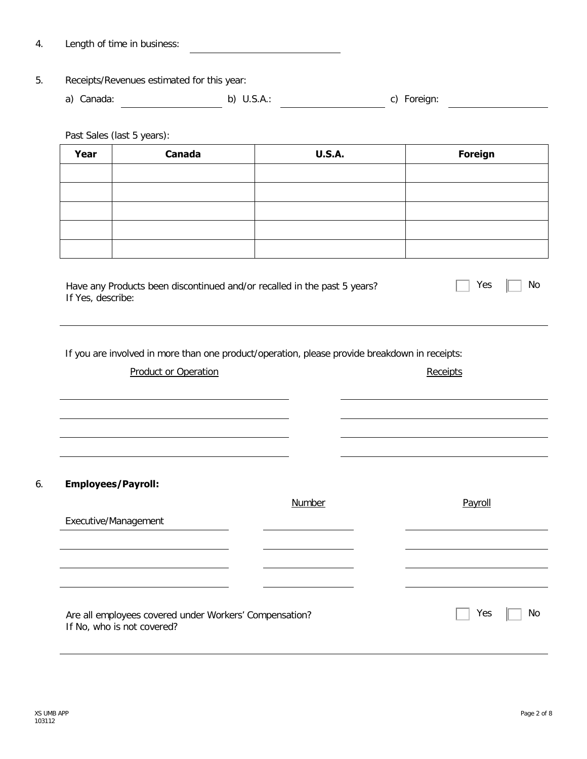4. Length of time in business:

#### 5. Receipts/Revenues estimated for this year:

a) Canada: b) U.S.A.: c) Foreign: 

Past Sales (last 5 years):

| Year | Canada | <b>U.S.A.</b> | <b>Foreign</b> |
|------|--------|---------------|----------------|
|      |        |               |                |
|      |        |               |                |
|      |        |               |                |
|      |        |               |                |
|      |        |               |                |

| Have any Products been discontinued and/or recalled in the past 5 years? | $\Box$ Yes $\Box$ No |  |
|--------------------------------------------------------------------------|----------------------|--|
| If Yes, describe:                                                        |                      |  |

If you are involved in more than one product/operation, please provide breakdown in receipts:

| <b>Employees/Payroll:</b>                              |        |         |
|--------------------------------------------------------|--------|---------|
|                                                        | Number | Payroll |
| Executive/Management                                   |        |         |
|                                                        |        |         |
|                                                        |        |         |
|                                                        |        |         |
|                                                        |        |         |
| Are all employees covered under Workers' Compensation? |        | Yes     |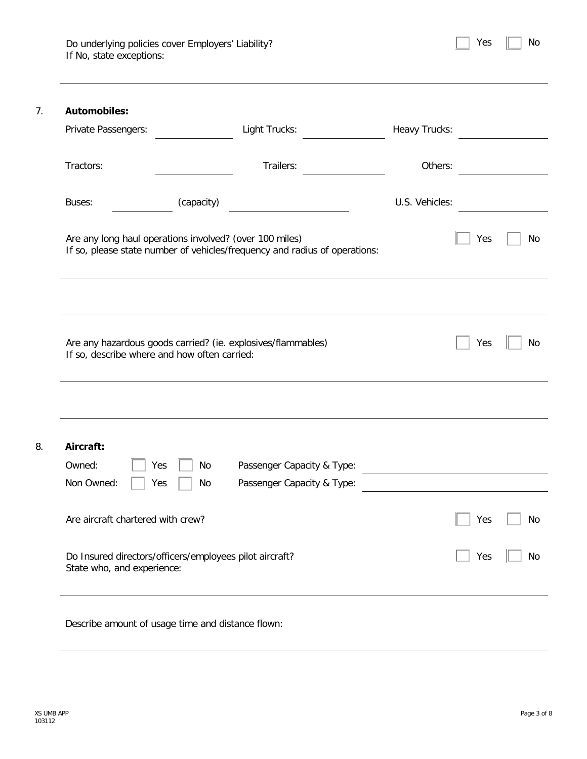| Do underlying policies cover Employers' Liability? |  |  |
|----------------------------------------------------|--|--|
| If No, state exceptions:                           |  |  |

| Yes | Nο |
|-----|----|
|-----|----|

| Private Passengers:                                     |            | Light Trucks:                                                              | Heavy Trucks:                                                                                                         |     |  |
|---------------------------------------------------------|------------|----------------------------------------------------------------------------|-----------------------------------------------------------------------------------------------------------------------|-----|--|
| Tractors:                                               |            | Trailers:                                                                  | Others:                                                                                                               |     |  |
| Buses:                                                  | (capacity) |                                                                            | U.S. Vehicles:                                                                                                        |     |  |
| Are any long haul operations involved? (over 100 miles) |            | If so, please state number of vehicles/frequency and radius of operations: |                                                                                                                       | Yes |  |
|                                                         |            |                                                                            |                                                                                                                       |     |  |
|                                                         |            |                                                                            |                                                                                                                       |     |  |
| If so, describe where and how often carried:            |            | Are any hazardous goods carried? (ie. explosives/flammables)               |                                                                                                                       | Yes |  |
|                                                         |            |                                                                            |                                                                                                                       |     |  |
| Aircraft:                                               |            |                                                                            |                                                                                                                       |     |  |
| Owned:<br>Yes                                           | No         | Passenger Capacity & Type:                                                 |                                                                                                                       |     |  |
| Non Owned:<br>Yes                                       | No         | Passenger Capacity & Type:                                                 | <u> 1980 - Andrea Station Barbara, politik eta politik eta politik eta politik eta politik eta politik eta politi</u> |     |  |
| Are aircraft chartered with crew?                       |            |                                                                            |                                                                                                                       | Yes |  |

Describe amount of usage time and distance flown: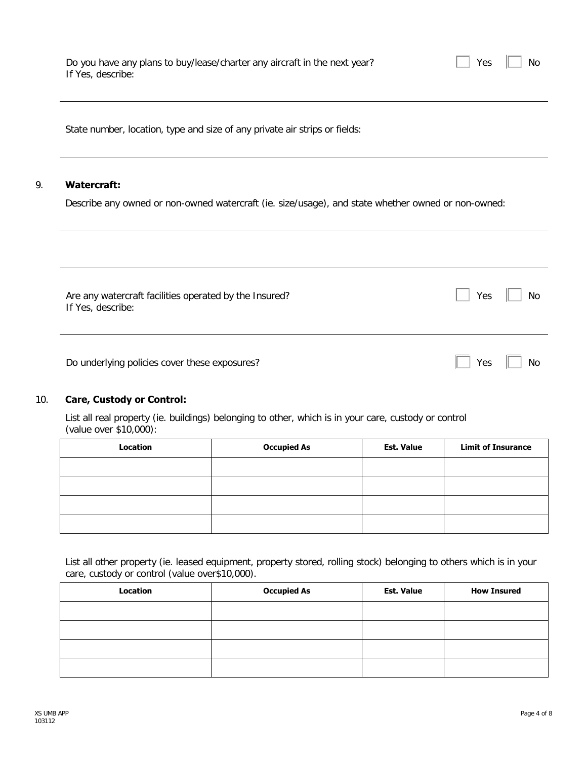|             | State number, location, type and size of any private air strips or fields:                         |  |  |  |
|-------------|----------------------------------------------------------------------------------------------------|--|--|--|
| Watercraft: |                                                                                                    |  |  |  |
|             |                                                                                                    |  |  |  |
|             | Describe any owned or non-owned watercraft (ie. size/usage), and state whether owned or non-owned: |  |  |  |

Are any watercraft facilities operated by the Insured? If Yes, describe:

Do underlying policies cover these exposures? No was not all the No was not all the No was not all the No was not all the No was not all the No was not all the No was not all the No was not all the No was not all the No wa

#### 10. **Care, Custody or Control:**

List all real property (ie. buildings) belonging to other, which is in your care, custody or control (value over \$10,000):

| Location | <b>Occupied As</b> | <b>Est. Value</b> | <b>Limit of Insurance</b> |
|----------|--------------------|-------------------|---------------------------|
|          |                    |                   |                           |
|          |                    |                   |                           |
|          |                    |                   |                           |
|          |                    |                   |                           |

List all other property (ie. leased equipment, property stored, rolling stock) belonging to others which is in your care, custody or control (value over\$10,000).

| Location | <b>Occupied As</b> | <b>Est. Value</b> | <b>How Insured</b> |
|----------|--------------------|-------------------|--------------------|
|          |                    |                   |                    |
|          |                    |                   |                    |
|          |                    |                   |                    |
|          |                    |                   |                    |

Yes No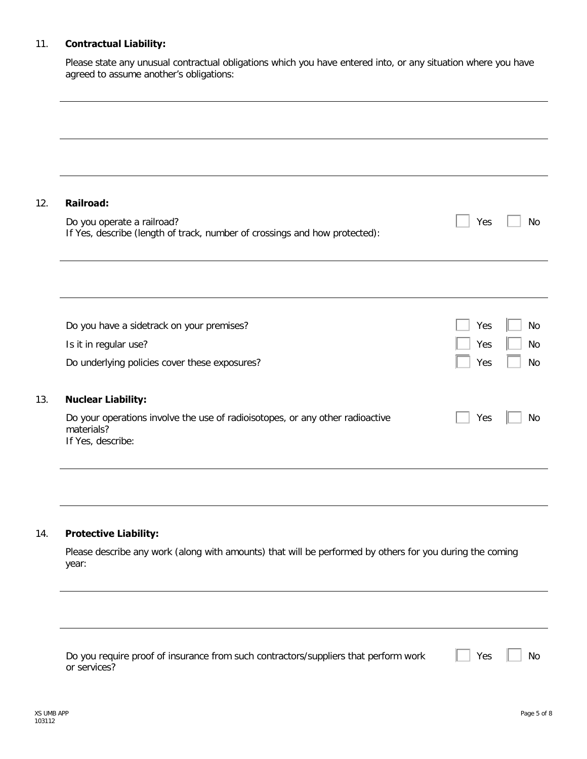### 11. **Contractual Liability:**

Please state any unusual contractual obligations which you have entered into, or any situation where you have agreed to assume another's obligations:

| <b>Railroad:</b>                                                                                                 |     |  |
|------------------------------------------------------------------------------------------------------------------|-----|--|
| Do you operate a railroad?<br>If Yes, describe (length of track, number of crossings and how protected):         | Yes |  |
|                                                                                                                  |     |  |
| Do you have a sidetrack on your premises?                                                                        | Yes |  |
| Is it in regular use?                                                                                            | Yes |  |
| Do underlying policies cover these exposures?                                                                    | Yes |  |
| <b>Nuclear Liability:</b>                                                                                        |     |  |
| Do your operations involve the use of radioisotopes, or any other radioactive<br>materials?<br>If Yes, describe: | Yes |  |

### 14. **Protective Liability:**

Please describe any work (along with amounts) that will be performed by others for you during the coming year:

| Do you require proof of insurance from such contractors/suppliers that perform work |  |
|-------------------------------------------------------------------------------------|--|
| or services?                                                                        |  |

Yes | No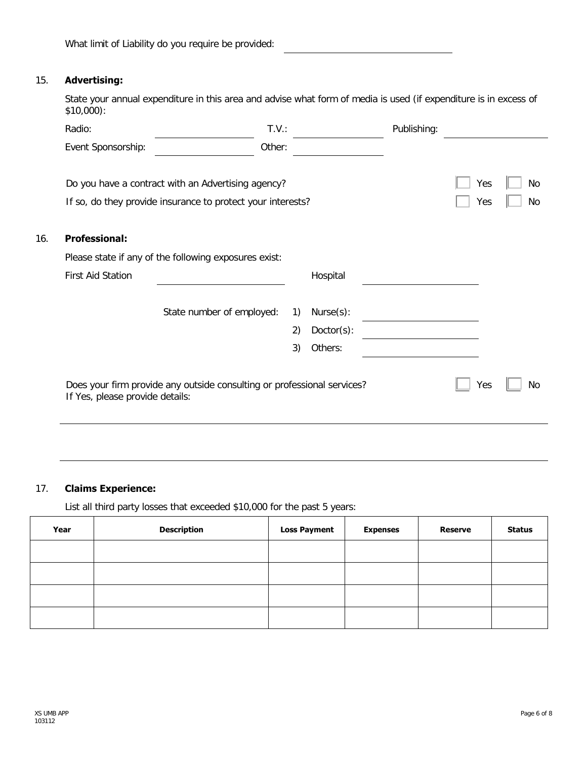What limit of Liability do you require be provided:

### 15. **Advertising:**

16. **Professional:**

State your annual expenditure in this area and advise what form of media is used (if expenditure is in excess of \$10,000):

| Radio:                          | T.V.:                                                                   |    |               | Publishing: |     |    |
|---------------------------------|-------------------------------------------------------------------------|----|---------------|-------------|-----|----|
| Event Sponsorship:              | Other:                                                                  |    |               |             |     |    |
|                                 |                                                                         |    |               |             |     |    |
|                                 | Do you have a contract with an Advertising agency?                      |    |               |             | Yes | No |
|                                 | If so, do they provide insurance to protect your interests?             |    |               |             | Yes | No |
|                                 |                                                                         |    |               |             |     |    |
| <b>Professional:</b>            |                                                                         |    |               |             |     |    |
|                                 | Please state if any of the following exposures exist:                   |    |               |             |     |    |
| <b>First Aid Station</b>        |                                                                         |    | Hospital      |             |     |    |
|                                 |                                                                         |    |               |             |     |    |
|                                 | State number of employed:                                               | 1) | Nurse(s):     |             |     |    |
|                                 |                                                                         | 2) | $Dactor(s)$ : |             |     |    |
|                                 |                                                                         | 3) | Others:       |             |     |    |
|                                 |                                                                         |    |               |             |     |    |
|                                 | Does your firm provide any outside consulting or professional services? |    |               |             | Yes | No |
| If Yes, please provide details: |                                                                         |    |               |             |     |    |
|                                 |                                                                         |    |               |             |     |    |

#### 17. **Claims Experience:**

List all third party losses that exceeded \$10,000 for the past 5 years:

| Year | <b>Description</b> | <b>Loss Payment</b> | <b>Expenses</b> | <b>Reserve</b> | <b>Status</b> |
|------|--------------------|---------------------|-----------------|----------------|---------------|
|      |                    |                     |                 |                |               |
|      |                    |                     |                 |                |               |
|      |                    |                     |                 |                |               |
|      |                    |                     |                 |                |               |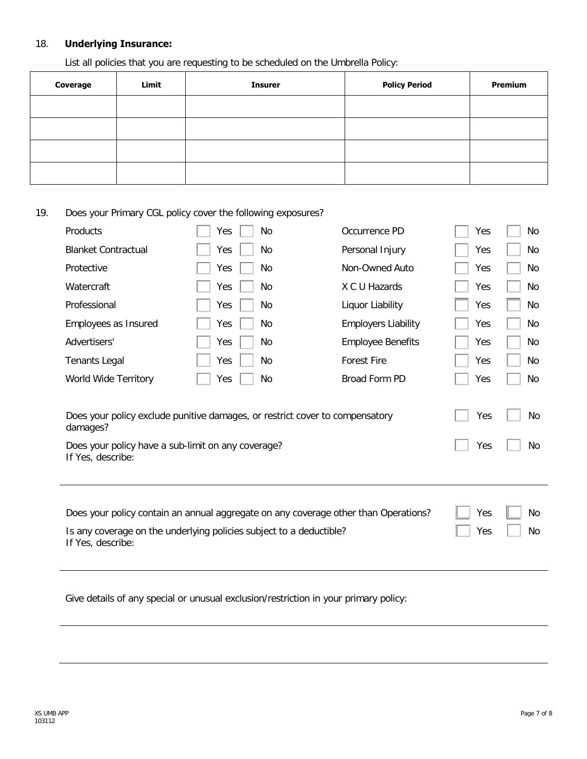#### 18. **Underlying Insurance:**

List all policies that you are requesting to be scheduled on the Umbrella Policy:

| Coverage | Limit | <b>Insurer</b> | <b>Policy Period</b> | <b>Premium</b> |
|----------|-------|----------------|----------------------|----------------|
|          |       |                |                      |                |
|          |       |                |                      |                |
|          |       |                |                      |                |
|          |       |                |                      |                |

19. Does your Primary CGL policy cover the following exposures?

| Products                   | Yes<br>No                                                                    | Occurrence PD              | Yes | No  |
|----------------------------|------------------------------------------------------------------------------|----------------------------|-----|-----|
| <b>Blanket Contractual</b> | Yes<br>No                                                                    | Personal Injury            | Yes | No  |
| Protective                 | Yes<br>No                                                                    | Non-Owned Auto             | Yes | No  |
| Watercraft                 | Yes<br>No                                                                    | X C U Hazards              | Yes | No  |
| Professional               | Yes<br>No                                                                    | Liquor Liability           | Yes | No  |
| Employees as Insured       | Yes<br>No                                                                    | <b>Employers Liability</b> | Yes | No  |
| Advertisers'               | Yes<br>No                                                                    | <b>Employee Benefits</b>   | Yes | No  |
| <b>Tenants Legal</b>       | Yes<br>No                                                                    | <b>Forest Fire</b>         | Yes | No. |
| World Wide Territory       | Yes<br>No                                                                    | Broad Form PD              | Yes | No  |
| damages?                   | Does your policy exclude punitive damages, or restrict cover to compensatory |                            | Yes | No  |
|                            |                                                                              |                            |     |     |
|                            | Does your policy have a sub-limit on any coverage?                           |                            | Yes | No. |
| If Yes, describe:          |                                                                              |                            |     |     |
|                            |                                                                              |                            |     |     |

Give details of any special or unusual exclusion/restriction in your primary policy: